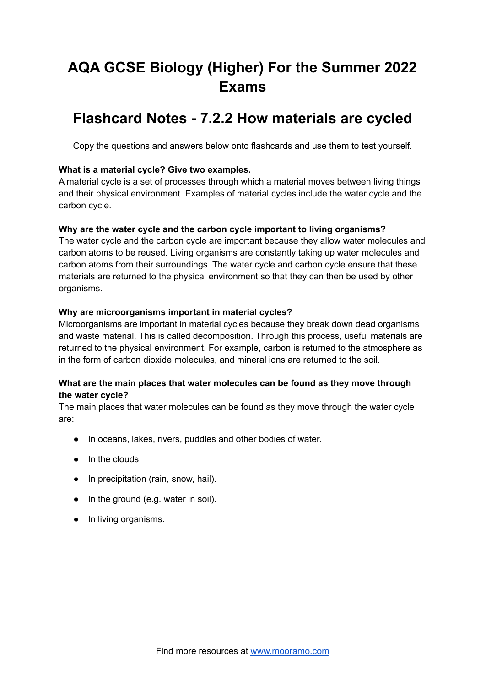# **AQA GCSE Biology (Higher) For the Summer 2022 Exams**

# **Flashcard Notes - 7.2.2 How materials are cycled**

Copy the questions and answers below onto flashcards and use them to test yourself.

# **What is a material cycle? Give two examples.**

A material cycle is a set of processes through which a material moves between living things and their physical environment. Examples of material cycles include the water cycle and the carbon cycle.

# **Why are the water cycle and the carbon cycle important to living organisms?**

The water cycle and the carbon cycle are important because they allow water molecules and carbon atoms to be reused. Living organisms are constantly taking up water molecules and carbon atoms from their surroundings. The water cycle and carbon cycle ensure that these materials are returned to the physical environment so that they can then be used by other organisms.

# **Why are microorganisms important in material cycles?**

Microorganisms are important in material cycles because they break down dead organisms and waste material. This is called decomposition. Through this process, useful materials are returned to the physical environment. For example, carbon is returned to the atmosphere as in the form of carbon dioxide molecules, and mineral ions are returned to the soil.

# **What are the main places that water molecules can be found as they move through the water cycle?**

The main places that water molecules can be found as they move through the water cycle are:

- In oceans, lakes, rivers, puddles and other bodies of water.
- In the clouds.
- In precipitation (rain, snow, hail).
- In the ground (e.g. water in soil).
- In living organisms.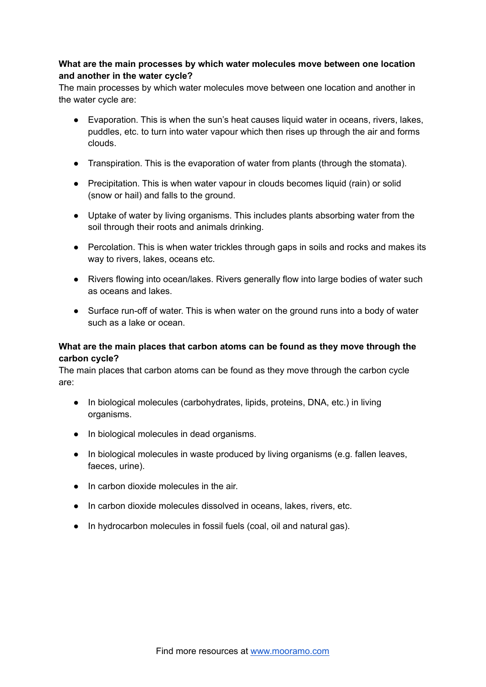# **What are the main processes by which water molecules move between one location and another in the water cycle?**

The main processes by which water molecules move between one location and another in the water cycle are:

- Evaporation. This is when the sun's heat causes liquid water in oceans, rivers, lakes, puddles, etc. to turn into water vapour which then rises up through the air and forms clouds.
- Transpiration. This is the evaporation of water from plants (through the stomata).
- Precipitation. This is when water vapour in clouds becomes liquid (rain) or solid (snow or hail) and falls to the ground.
- Uptake of water by living organisms. This includes plants absorbing water from the soil through their roots and animals drinking.
- Percolation. This is when water trickles through gaps in soils and rocks and makes its way to rivers, lakes, oceans etc.
- Rivers flowing into ocean/lakes. Rivers generally flow into large bodies of water such as oceans and lakes.
- Surface run-off of water. This is when water on the ground runs into a body of water such as a lake or ocean.

# **What are the main places that carbon atoms can be found as they move through the carbon cycle?**

The main places that carbon atoms can be found as they move through the carbon cycle are:

- In biological molecules (carbohydrates, lipids, proteins, DNA, etc.) in living organisms.
- In biological molecules in dead organisms.
- In biological molecules in waste produced by living organisms (e.g. fallen leaves, faeces, urine).
- In carbon dioxide molecules in the air.
- In carbon dioxide molecules dissolved in oceans, lakes, rivers, etc.
- In hydrocarbon molecules in fossil fuels (coal, oil and natural gas).